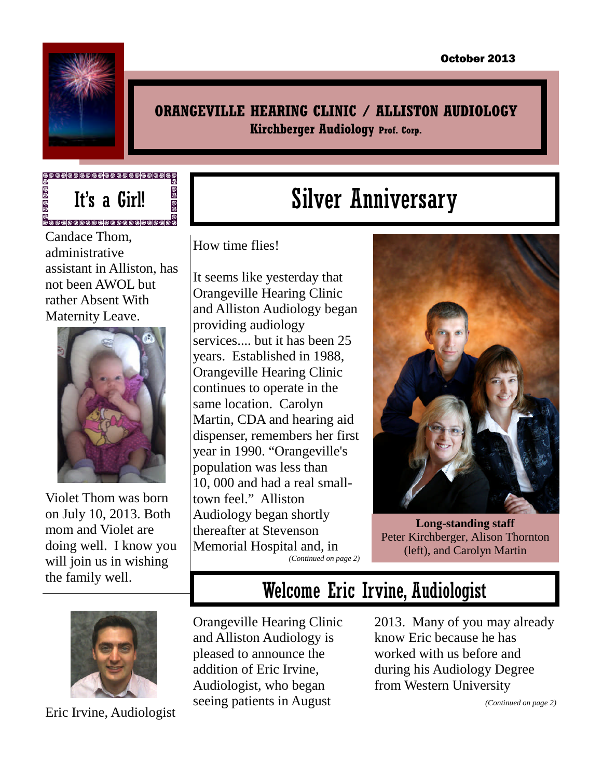

<u>ම</u>

#### **ORANGEVILLE HEARING CLINIC / ALLISTON AUDIOLOGY Kirchberger Audiology Prof. Corp.**

It's a Girl!

**ම** <u>ම</u>

Candace Thom, administrative assistant in Alliston, has not been AWOL but rather Absent With Maternity Leave.



Violet Thom was born on July 10, 2013. Both mom and Violet are doing well. I know you will join us in wishing the family well.

# Silver Anniversary

How time flies!

It seems like yesterday that Orangeville Hearing Clinic and Alliston Audiology began providing audiology services.... but it has been 25 years. Established in 1988, Orangeville Hearing Clinic continues to operate in the same location. Carolyn Martin, CDA and hearing aid dispenser, remembers her first year in 1990. "Orangeville's population was less than 10, 000 and had a real smalltown feel." Alliston Audiology began shortly thereafter at Stevenson Memorial Hospital and, in



**Long-standing staff** Peter Kirchberger, Alison Thornton (left), and Carolyn Martin



Welcome Eric Irvine, Audiologist

Orangeville Hearing Clinic and Alliston Audiology is pleased to announce the addition of Eric Irvine, Audiologist, who began seeing patients in August

2013. Many of you may already know Eric because he has worked with us before and during his Audiology Degree from Western University



Eric Irvine, Audiologist

*(Continued on page 2)*